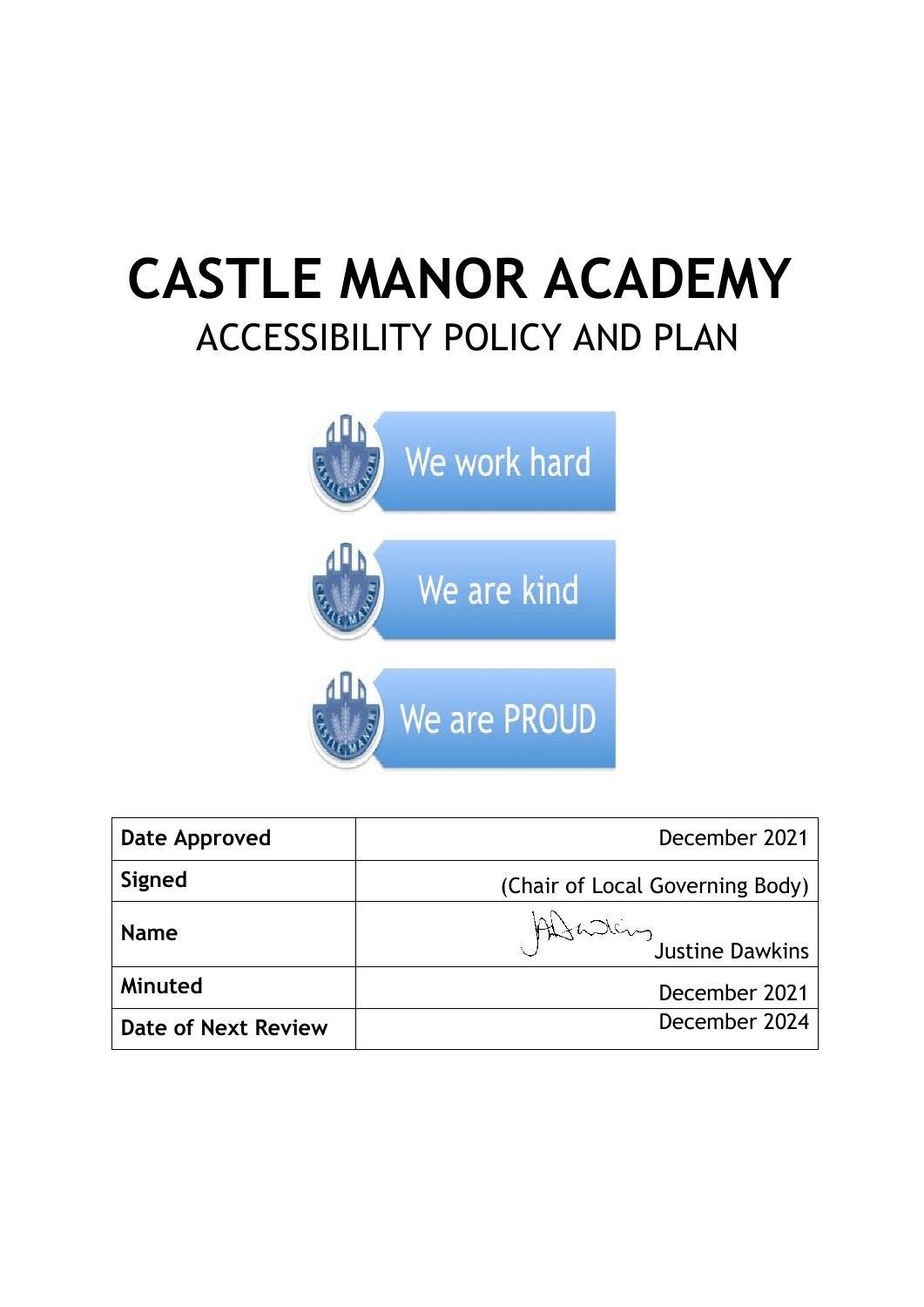# **CASTLE MANOR ACADEMY** ACCESSIBILITY POLICY AND PLAN



| Date Approved              | December 2021                   |
|----------------------------|---------------------------------|
| Signed                     | (Chair of Local Governing Body) |
| <b>Name</b>                | Altaling Justine Dawkins        |
| Minuted                    | December 2021                   |
| <b>Date of Next Review</b> | December 2024                   |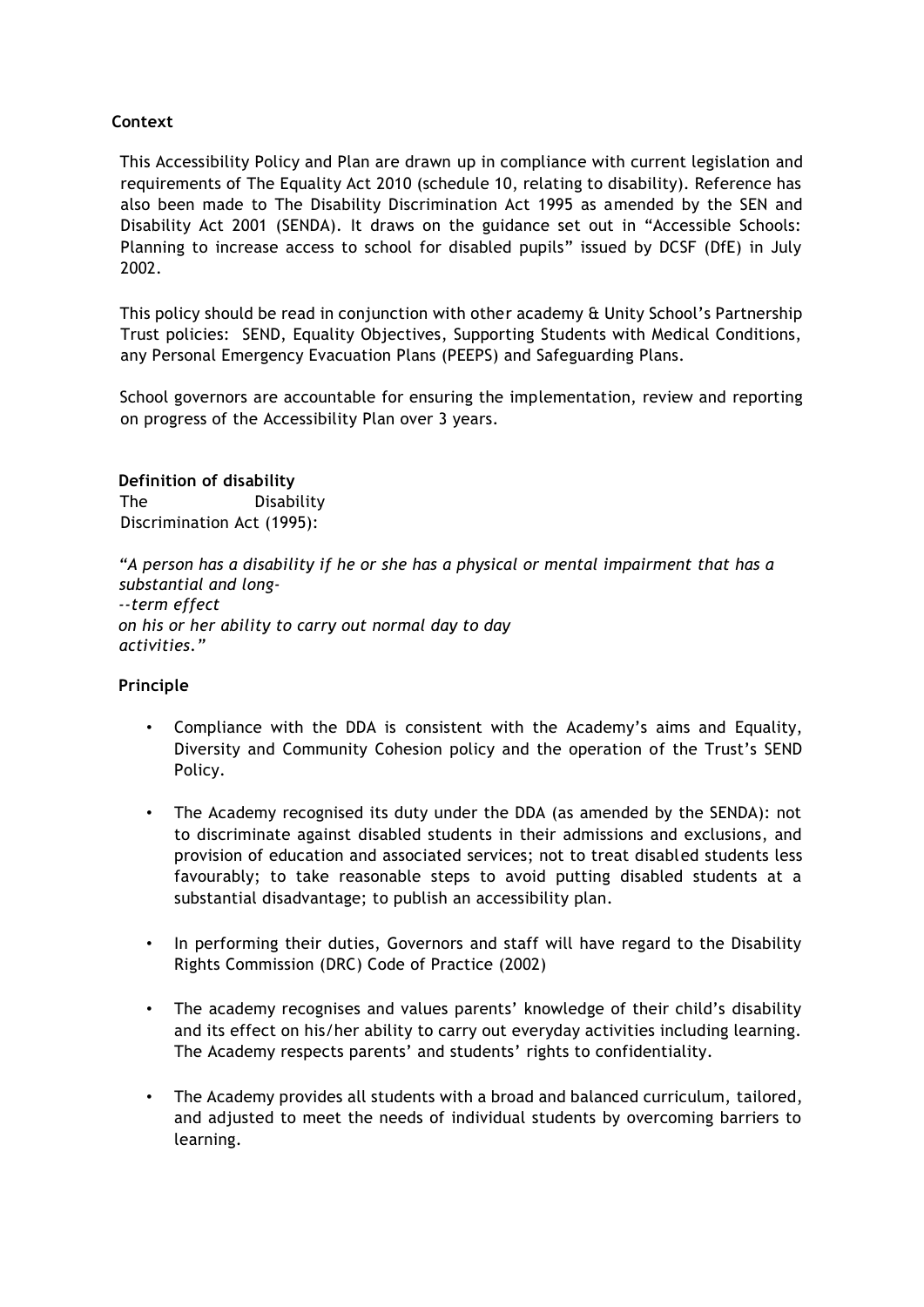# **Context**

This Accessibility Policy and Plan are drawn up in compliance with current legislation and requirements of The Equality Act 2010 (schedule 10, relating to disability). Reference has also been made to The Disability Discrimination Act 1995 as amended by the SEN and Disability Act 2001 (SENDA). It draws on the guidance set out in "Accessible Schools: Planning to increase access to school for disabled pupils" issued by DCSF (DfE) in July 2002.

This policy should be read in conjunction with other academy & Unity School's Partnership Trust policies: SEND, Equality Objectives, Supporting Students with Medical Conditions, any Personal Emergency Evacuation Plans (PEEPS) and Safeguarding Plans.

School governors are accountable for ensuring the implementation, review and reporting on progress of the Accessibility Plan over 3 years.

#### **Definition of disability**

The Disability Discrimination Act (1995):

*"A person has a disability if he or she has a physical or mental impairment that has a substantial and long- --term effect on his or her ability to carry out normal day to day activities."* 

### **Principle**

- Compliance with the DDA is consistent with the Academy's aims and Equality, Diversity and Community Cohesion policy and the operation of the Trust's SEND Policy.
- The Academy recognised its duty under the DDA (as amended by the SENDA): not to discriminate against disabled students in their admissions and exclusions, and provision of education and associated services; not to treat disabled students less favourably; to take reasonable steps to avoid putting disabled students at a substantial disadvantage; to publish an accessibility plan.
- In performing their duties, Governors and staff will have regard to the Disability Rights Commission (DRC) Code of Practice (2002)
- The academy recognises and values parents' knowledge of their child's disability and its effect on his/her ability to carry out everyday activities including learning. The Academy respects parents' and students' rights to confidentiality.
- The Academy provides all students with a broad and balanced curriculum, tailored, and adjusted to meet the needs of individual students by overcoming barriers to learning.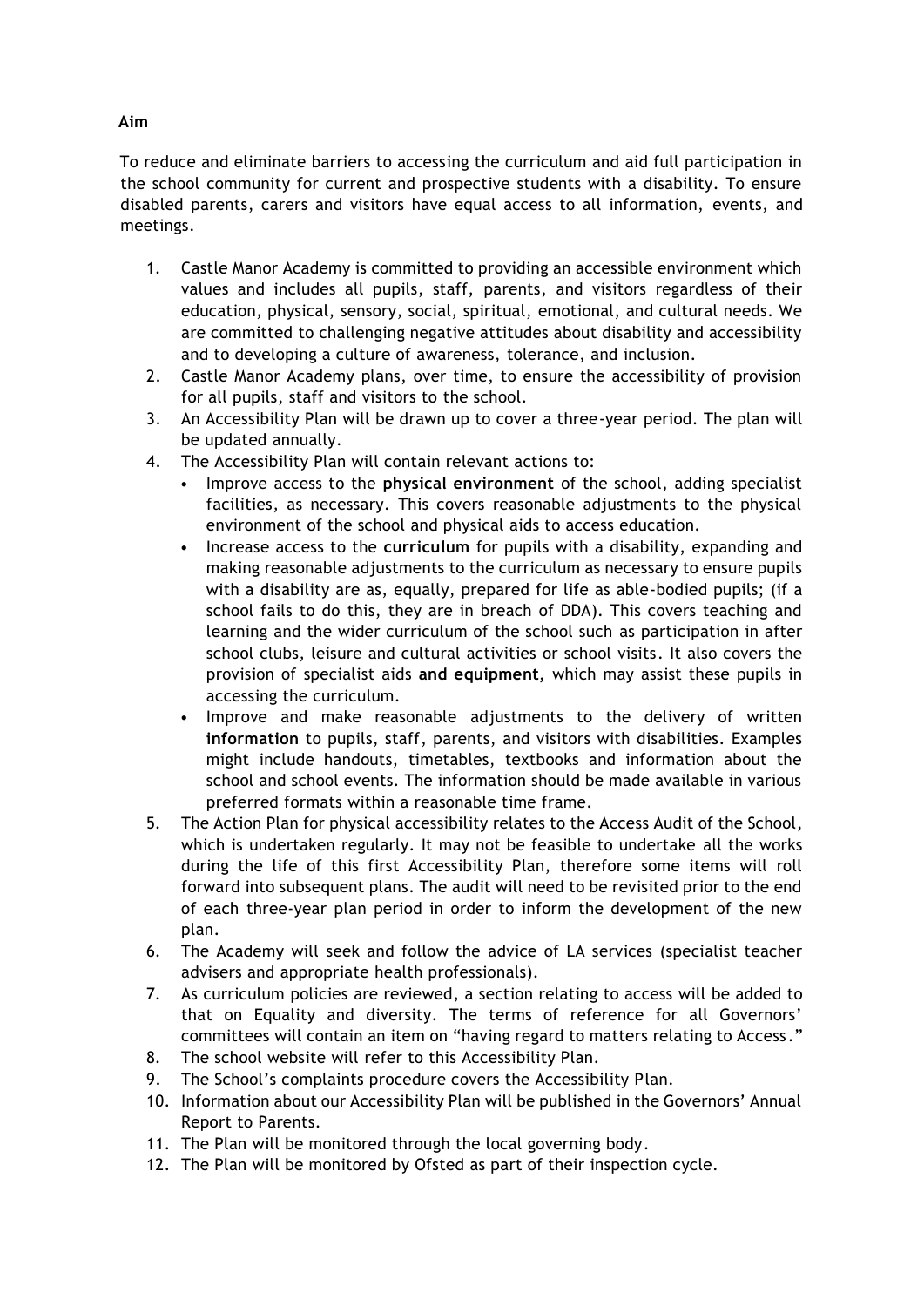To reduce and eliminate barriers to accessing the curriculum and aid full participation in the school community for current and prospective students with a disability. To ensure disabled parents, carers and visitors have equal access to all information, events, and meetings.

- 1. Castle Manor Academy is committed to providing an accessible environment which values and includes all pupils, staff, parents, and visitors regardless of their education, physical, sensory, social, spiritual, emotional, and cultural needs. We are committed to challenging negative attitudes about disability and accessibility and to developing a culture of awareness, tolerance, and inclusion.
- 2. Castle Manor Academy plans, over time, to ensure the accessibility of provision for all pupils, staff and visitors to the school.
- 3. An Accessibility Plan will be drawn up to cover a three-year period. The plan will be updated annually.
- 4. The Accessibility Plan will contain relevant actions to:
	- Improve access to the **physical environment** of the school, adding specialist facilities, as necessary. This covers reasonable adjustments to the physical environment of the school and physical aids to access education.
	- Increase access to the **curriculum** for pupils with a disability, expanding and making reasonable adjustments to the curriculum as necessary to ensure pupils with a disability are as, equally, prepared for life as able-bodied pupils; (if a school fails to do this, they are in breach of DDA). This covers teaching and learning and the wider curriculum of the school such as participation in after school clubs, leisure and cultural activities or school visits. It also covers the provision of specialist aids **and equipment,** which may assist these pupils in accessing the curriculum.
	- Improve and make reasonable adjustments to the delivery of written **information** to pupils, staff, parents, and visitors with disabilities. Examples might include handouts, timetables, textbooks and information about the school and school events. The information should be made available in various preferred formats within a reasonable time frame.
- 5. The Action Plan for physical accessibility relates to the Access Audit of the School, which is undertaken regularly. It may not be feasible to undertake all the works during the life of this first Accessibility Plan, therefore some items will roll forward into subsequent plans. The audit will need to be revisited prior to the end of each three-year plan period in order to inform the development of the new plan.
- 6. The Academy will seek and follow the advice of LA services (specialist teacher advisers and appropriate health professionals).
- 7. As curriculum policies are reviewed, a section relating to access will be added to that on Equality and diversity. The terms of reference for all Governors' committees will contain an item on "having regard to matters relating to Access ."
- 8. The school website will refer to this Accessibility Plan.
- 9. The School's complaints procedure covers the Accessibility Plan.
- 10. Information about our Accessibility Plan will be published in the Governors' Annual Report to Parents.
- 11. The Plan will be monitored through the local governing body.
- 12. The Plan will be monitored by Ofsted as part of their inspection cycle.

## **Aim**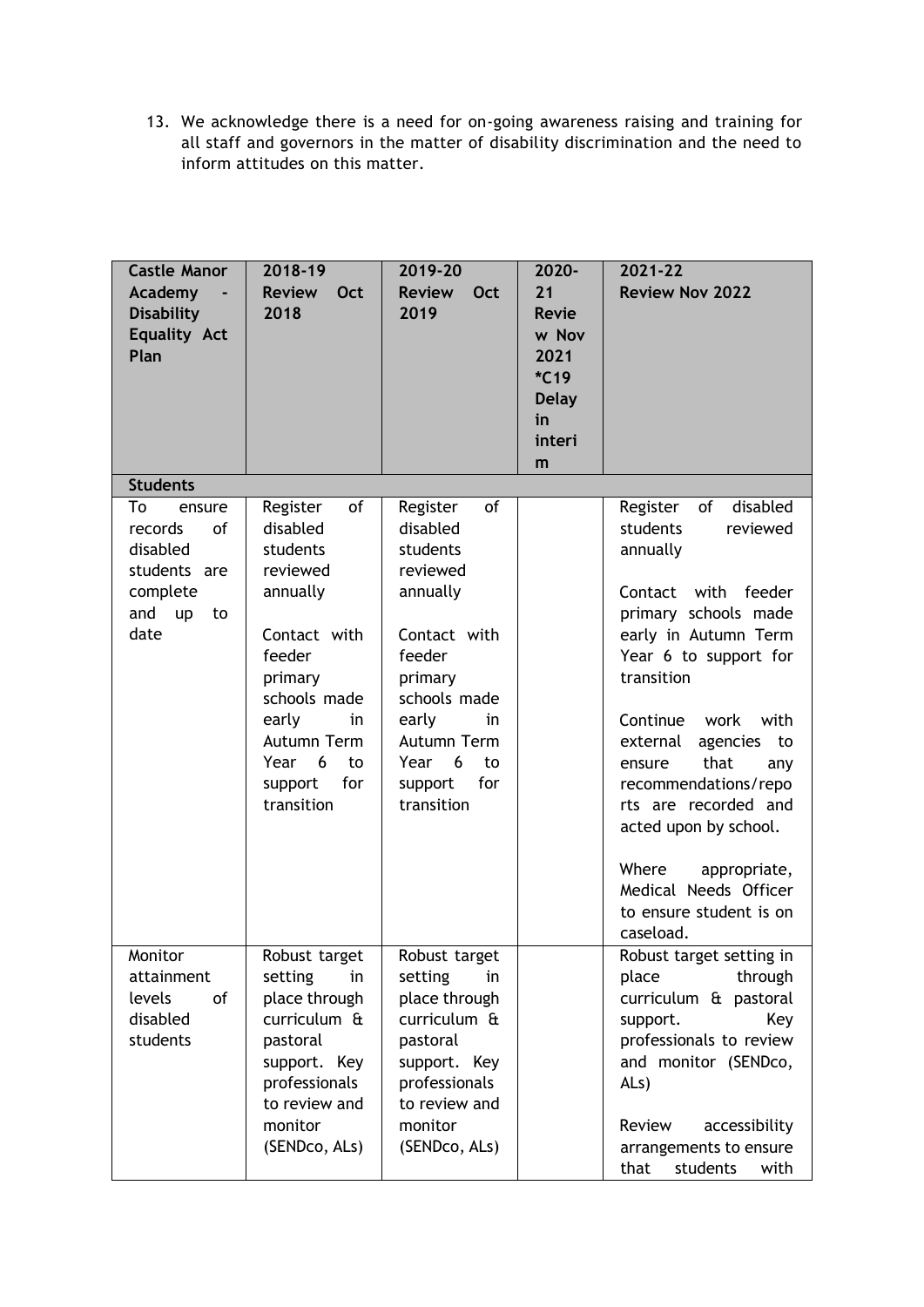13. We acknowledge there is a need for on-going awareness raising and training for all staff and governors in the matter of disability discrimination and the need to inform attitudes on this matter.

| <b>Castle Manor</b><br>Academy<br><b>Disability</b><br><b>Equality Act</b><br>Plan               | 2018-19<br><b>Review</b><br>Oct<br>2018                                                                                                                              | 2019-20<br><b>Review</b><br>Oct<br>2019                                                                                                                              | 2020-<br>21<br><b>Revie</b><br>w Nov<br>2021<br>$*C19$<br><b>Delay</b><br>in<br>interi<br>m | 2021-22<br><b>Review Nov 2022</b>                                                                                                                                                                                                                                  |
|--------------------------------------------------------------------------------------------------|----------------------------------------------------------------------------------------------------------------------------------------------------------------------|----------------------------------------------------------------------------------------------------------------------------------------------------------------------|---------------------------------------------------------------------------------------------|--------------------------------------------------------------------------------------------------------------------------------------------------------------------------------------------------------------------------------------------------------------------|
| <b>Students</b>                                                                                  |                                                                                                                                                                      |                                                                                                                                                                      |                                                                                             |                                                                                                                                                                                                                                                                    |
| To<br>ensure<br>records<br>of<br>disabled<br>students are<br>complete<br>and<br>up<br>to<br>date | of<br>Register<br>disabled<br>students<br>reviewed<br>annually<br>Contact with<br>feeder<br>primary<br>schools made<br>early<br>in<br>Autumn Term<br>Year<br>6<br>to | of<br>Register<br>disabled<br>students<br>reviewed<br>annually<br>Contact with<br>feeder<br>primary<br>schools made<br>early<br>in<br>Autumn Term<br>6<br>Year<br>to |                                                                                             | disabled<br>Register<br>of<br>students<br>reviewed<br>annually<br>Contact<br>with<br>feeder<br>primary schools made<br>early in Autumn Term<br>Year 6 to support for<br>transition<br>Continue work<br>with<br>external<br>agencies<br>to<br>that<br>ensure<br>any |
|                                                                                                  | for<br>support<br>transition                                                                                                                                         | for<br>support<br>transition                                                                                                                                         |                                                                                             | recommendations/repo<br>rts are recorded and<br>acted upon by school.<br>Where<br>appropriate,<br>Medical Needs Officer<br>to ensure student is on<br>caseload.                                                                                                    |
| Monitor<br>attainment<br>levels<br>of<br>disabled<br>students                                    | Robust target<br>setting<br>in<br>place through<br>curriculum &<br>pastoral<br>support. Key<br>professionals<br>to review and<br>monitor<br>(SENDco, ALs)            | Robust target<br>setting<br>in<br>place through<br>curriculum &<br>pastoral<br>support. Key<br>professionals<br>to review and<br>monitor<br>(SENDco, ALs)            |                                                                                             | Robust target setting in<br>through<br>place<br>curriculum & pastoral<br>Key<br>support.<br>professionals to review<br>and monitor (SENDco,<br>AL <sub>s</sub> )<br>accessibility<br>Review<br>arrangements to ensure<br>that<br>students<br>with                  |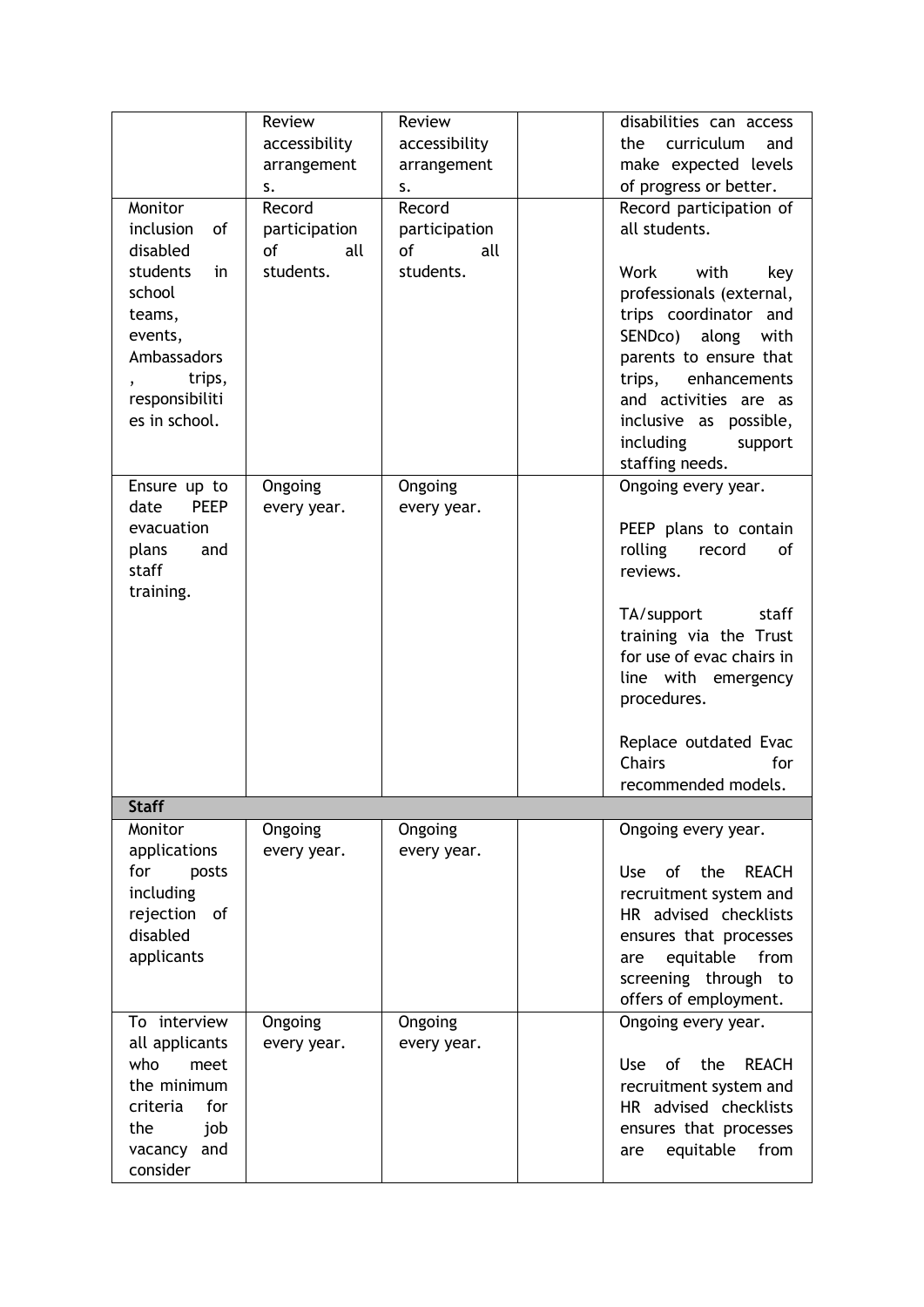|                                                                                                                             | Review<br>accessibility<br>arrangement<br>s. | Review<br>accessibility<br>arrangement<br>s. | disabilities can access<br>the curriculum<br>and<br>make expected levels<br>of progress or better.                                                                                                                                                  |
|-----------------------------------------------------------------------------------------------------------------------------|----------------------------------------------|----------------------------------------------|-----------------------------------------------------------------------------------------------------------------------------------------------------------------------------------------------------------------------------------------------------|
| Monitor<br>inclusion<br>of<br>disabled                                                                                      | Record<br>participation<br>of<br>all         | Record<br>participation<br>all<br>οf         | Record participation of<br>all students.                                                                                                                                                                                                            |
| students<br>in<br>school<br>teams,<br>events,<br>Ambassadors<br>trips,<br>responsibiliti<br>es in school.                   | students.                                    | students.                                    | with<br>Work<br>key<br>professionals (external,<br>trips coordinator and<br>SENDco)<br>along<br>with<br>parents to ensure that<br>trips, enhancements<br>and activities are as<br>inclusive as possible,<br>including<br>support<br>staffing needs. |
| Ensure up to<br><b>PEEP</b><br>date<br>evacuation<br>plans<br>and<br>staff<br>training.                                     | Ongoing<br>every year.                       | Ongoing<br>every year.                       | Ongoing every year.<br>PEEP plans to contain<br>rolling<br>record<br>of<br>reviews.                                                                                                                                                                 |
|                                                                                                                             |                                              |                                              | TA/support<br>staff<br>training via the Trust<br>for use of evac chairs in<br>line with emergency<br>procedures.                                                                                                                                    |
|                                                                                                                             |                                              |                                              | Replace outdated Evac<br>Chairs<br>for<br>recommended models.                                                                                                                                                                                       |
| <b>Staff</b>                                                                                                                |                                              |                                              |                                                                                                                                                                                                                                                     |
| Monitor<br>applications                                                                                                     | Ongoing<br>every year.                       | Ongoing<br>every year.                       | Ongoing every year.                                                                                                                                                                                                                                 |
| for<br>posts<br>including<br>rejection of<br>disabled<br>applicants                                                         |                                              |                                              | of the<br><b>REACH</b><br><b>Use</b><br>recruitment system and<br>HR advised checklists<br>ensures that processes<br>from<br>equitable<br>are<br>screening through to<br>offers of employment.                                                      |
| To interview<br>all applicants<br>who<br>meet<br>the minimum<br>criteria<br>for<br>the<br>job<br>and<br>vacancy<br>consider | Ongoing<br>every year.                       | Ongoing<br>every year.                       | Ongoing every year.<br><b>REACH</b><br>of the<br>Use<br>recruitment system and<br>HR advised checklists<br>ensures that processes<br>from<br>equitable<br>are                                                                                       |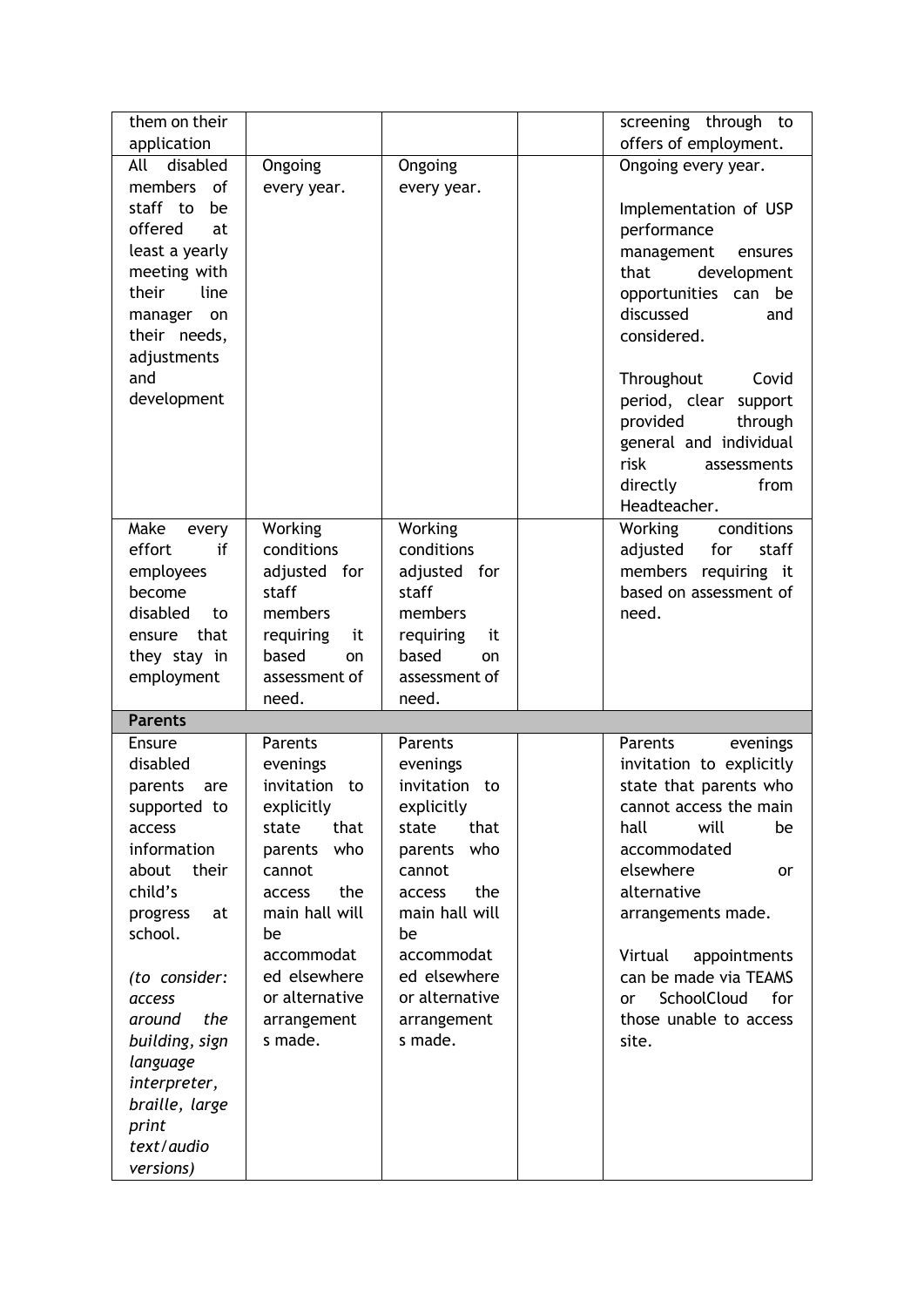| them on their            |                 |                  | screening through to            |
|--------------------------|-----------------|------------------|---------------------------------|
| application              |                 |                  | offers of employment.           |
| disabled<br>All          | Ongoing         | Ongoing          | Ongoing every year.             |
| members<br>0f            | every year.     | every year.      |                                 |
| staff to<br>be           |                 |                  | Implementation of USP           |
| offered<br>at            |                 |                  | performance                     |
| least a yearly           |                 |                  | management<br>ensures           |
| meeting with             |                 |                  | that<br>development             |
| their<br>line            |                 |                  | opportunities can be            |
| manager<br>on            |                 |                  | discussed<br>and                |
| their needs,             |                 |                  | considered.                     |
| adjustments              |                 |                  |                                 |
| and                      |                 |                  | Throughout<br>Covid             |
| development              |                 |                  | period, clear support           |
|                          |                 |                  | provided<br>through             |
|                          |                 |                  | general and individual          |
|                          |                 |                  | risk<br>assessments             |
|                          |                 |                  | directly<br>from                |
|                          |                 |                  | Headteacher.                    |
| Make<br>every            | Working         | Working          | conditions<br>Working           |
| effort<br>if             | conditions      | conditions       | adjusted<br>for<br>staff        |
| employees                | adjusted for    | adjusted for     | members requiring it            |
| become                   | staff           | staff            | based on assessment of          |
| disabled<br>to           | members         | members          | need.                           |
| that<br>ensure           | requiring<br>it | requiring<br>it  |                                 |
| they stay in             | based<br>on     | based<br>on      |                                 |
| employment               | assessment of   | assessment of    |                                 |
|                          | need.           | need.            |                                 |
| <b>Parents</b><br>Ensure | <b>Parents</b>  | Parents          | Parents<br>evenings             |
| disabled                 | evenings        | evenings         | invitation to explicitly        |
| parents<br>are           | invitation to   | invitation<br>to | state that parents who          |
| supported to             | explicitly      | explicitly       | cannot access the main          |
| access                   | that<br>state   | that<br>state    | will<br>hall<br>be              |
| information              | who<br>parents  | who<br>parents   | accommodated                    |
| about<br>their           | cannot          | cannot           | elsewhere<br>or                 |
| child's                  | the<br>access   | the<br>access    | alternative                     |
| progress<br>at           | main hall will  | main hall will   | arrangements made.              |
| school.                  | be              | be               |                                 |
|                          | accommodat      | accommodat       | Virtual<br>appointments         |
| (to consider:            | ed elsewhere    | ed elsewhere     | can be made via TEAMS           |
| access                   | or alternative  | or alternative   | SchoolCloud<br>for<br><b>or</b> |
| the<br>around            | arrangement     | arrangement      | those unable to access          |
| building, sign           | s made.         | s made.          | site.                           |
| language                 |                 |                  |                                 |
| interpreter,             |                 |                  |                                 |
| braille, large           |                 |                  |                                 |
| print                    |                 |                  |                                 |
| text/audio               |                 |                  |                                 |
|                          |                 |                  |                                 |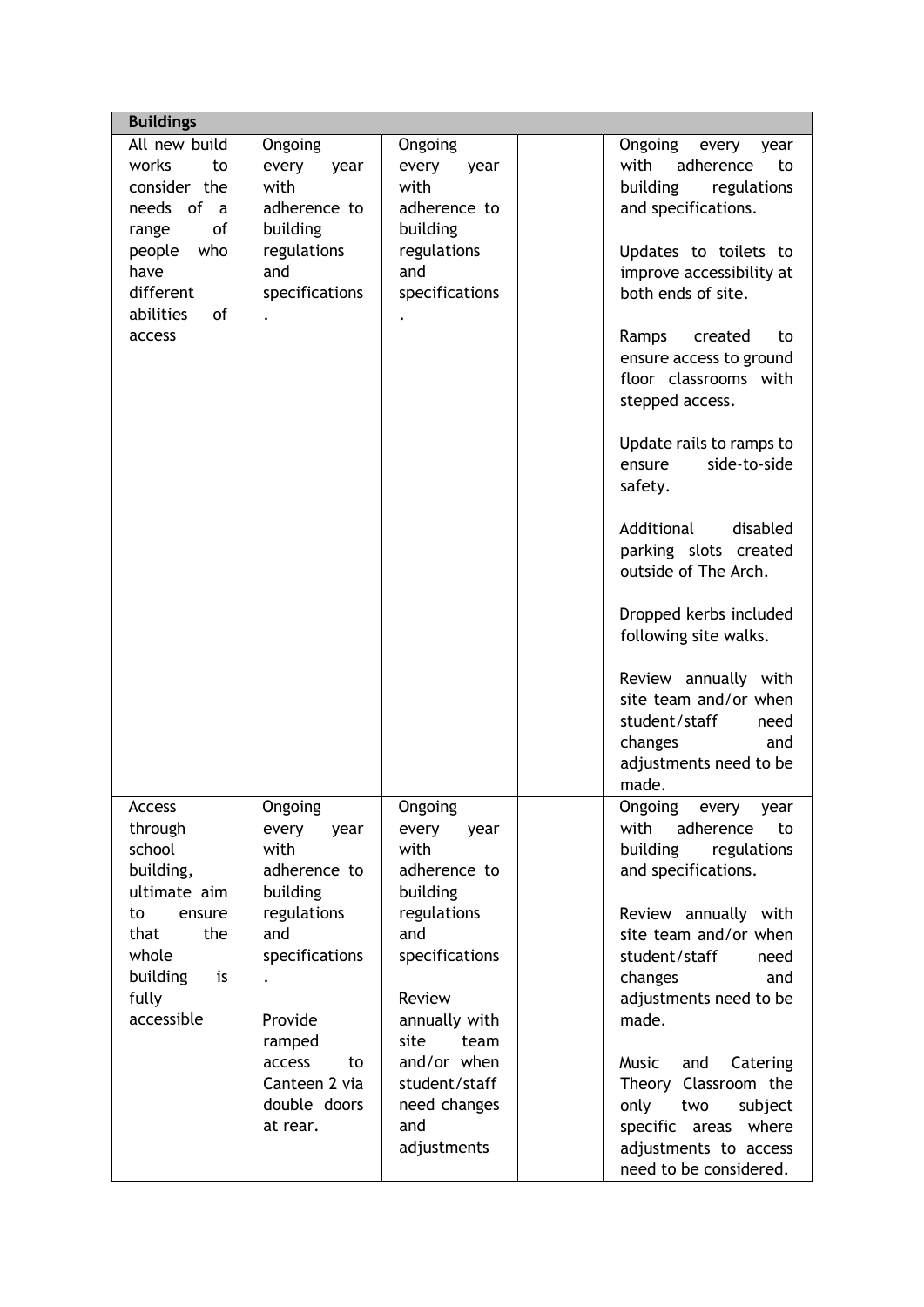| <b>Buildings</b>              |                |                                 |
|-------------------------------|----------------|---------------------------------|
| All new build<br>Ongoing      | Ongoing        | Ongoing<br>every<br>year        |
| works<br>to<br>every<br>year  | every<br>year  | with<br>adherence<br>to         |
| with<br>consider the          | with           | building<br>regulations         |
| needs<br>of a<br>adherence to | adherence to   | and specifications.             |
| of<br>building<br>range       | building       |                                 |
| who<br>regulations<br>people  | regulations    | Updates to toilets to           |
| and<br>have                   | and            | improve accessibility at        |
| different<br>specifications   | specifications | both ends of site.              |
| abilities<br>of               |                |                                 |
| access                        |                | Ramps<br>created<br>to          |
|                               |                | ensure access to ground         |
|                               |                | floor classrooms with           |
|                               |                | stepped access.                 |
|                               |                |                                 |
|                               |                | Update rails to ramps to        |
|                               |                | side-to-side<br>ensure          |
|                               |                | safety.                         |
|                               |                |                                 |
|                               |                | Additional<br>disabled          |
|                               |                | parking slots created           |
|                               |                | outside of The Arch.            |
|                               |                |                                 |
|                               |                | Dropped kerbs included          |
|                               |                | following site walks.           |
|                               |                |                                 |
|                               |                | Review annually with            |
|                               |                | site team and/or when           |
|                               |                | student/staff<br>need           |
|                               |                | changes<br>and                  |
|                               |                | adjustments need to be<br>made. |
| Ongoing<br>Access             | Ongoing        | Ongoing every year              |
| through<br>every<br>year      | every<br>year  | with<br>adherence<br>to         |
| school<br>with                | with           | building<br>regulations         |
| building,<br>adherence to     | adherence to   | and specifications.             |
| ultimate aim<br>building      | building       |                                 |
| regulations<br>to<br>ensure   | regulations    | Review annually with            |
| and<br>that<br>the            | and            | site team and/or when           |
| specifications<br>whole       | specifications | student/staff<br>need           |
| building<br>is                |                | changes<br>and                  |
| fully                         | Review         | adjustments need to be          |
| accessible<br>Provide         | annually with  | made.                           |
| ramped                        | site<br>team   |                                 |
| access<br>to                  | and/or when    | Music<br>and<br>Catering        |
| Canteen 2 via                 | student/staff  | Theory Classroom the            |
| double doors                  | need changes   | only<br>two<br>subject          |
| at rear.                      | and            | specific areas where            |
|                               | adjustments    | adjustments to access           |
|                               |                | need to be considered.          |